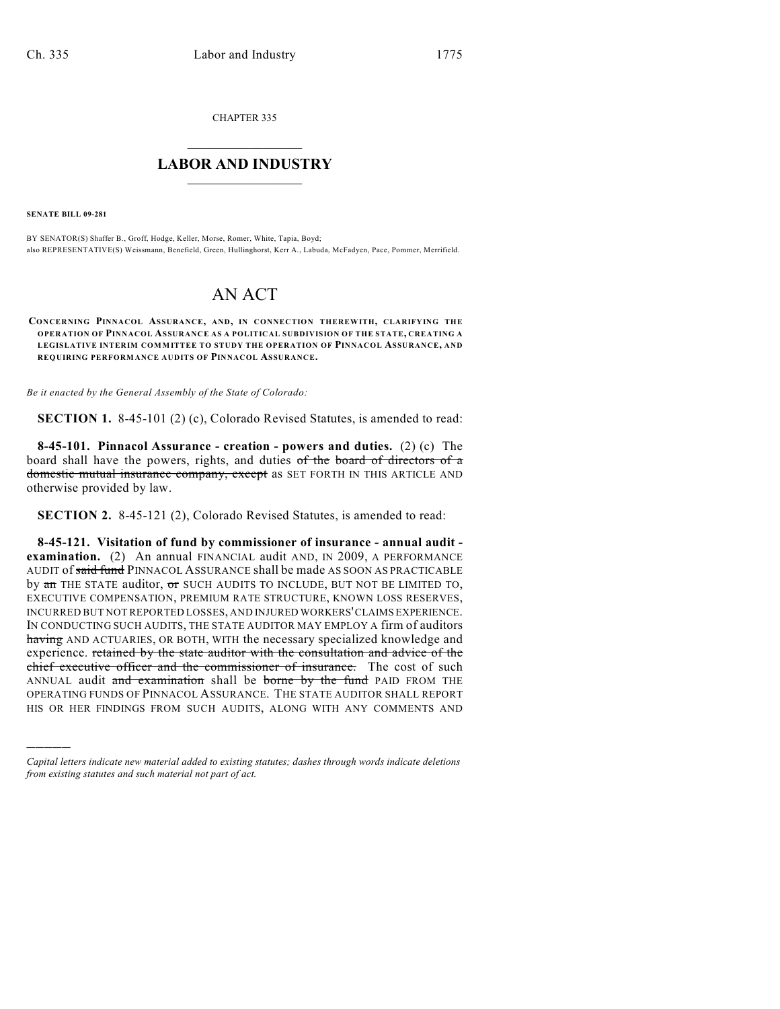CHAPTER 335

## $\mathcal{L}_\text{max}$  . The set of the set of the set of the set of the set of the set of the set of the set of the set of the set of the set of the set of the set of the set of the set of the set of the set of the set of the set **LABOR AND INDUSTRY**  $\frac{1}{\sqrt{2}}$  ,  $\frac{1}{\sqrt{2}}$  ,  $\frac{1}{\sqrt{2}}$  ,  $\frac{1}{\sqrt{2}}$  ,  $\frac{1}{\sqrt{2}}$  ,  $\frac{1}{\sqrt{2}}$

**SENATE BILL 09-281**

)))))

BY SENATOR(S) Shaffer B., Groff, Hodge, Keller, Morse, Romer, White, Tapia, Boyd; also REPRESENTATIVE(S) Weissmann, Benefield, Green, Hullinghorst, Kerr A., Labuda, McFadyen, Pace, Pommer, Merrifield.

## AN ACT

**CONCERNING PINNACOL ASSURANCE, AND, IN CONNECTION THEREWITH, CLARIFYING THE OPERATION OF PINNACOL ASSURANCE AS A POLITICAL SUBDIVISION OF THE STATE, CREATING A LEGISLATIVE INTERIM COMMITTEE TO STUDY THE OPERATION OF PINNACOL ASSURANCE, AND REQUIRING PERFORM ANCE AUDITS OF PINNACOL ASSURANCE.**

*Be it enacted by the General Assembly of the State of Colorado:*

**SECTION 1.** 8-45-101 (2) (c), Colorado Revised Statutes, is amended to read:

**8-45-101. Pinnacol Assurance - creation - powers and duties.** (2) (c) The board shall have the powers, rights, and duties of the board of directors of  $\alpha$ domestic mutual insurance company, except as SET FORTH IN THIS ARTICLE AND otherwise provided by law.

**SECTION 2.** 8-45-121 (2), Colorado Revised Statutes, is amended to read:

**8-45-121. Visitation of fund by commissioner of insurance - annual audit examination.** (2) An annual FINANCIAL audit AND, IN 2009, A PERFORMANCE AUDIT of said fund PINNACOL ASSURANCE shall be made AS SOON AS PRACTICABLE by an THE STATE auditor, or SUCH AUDITS TO INCLUDE, BUT NOT BE LIMITED TO, EXECUTIVE COMPENSATION, PREMIUM RATE STRUCTURE, KNOWN LOSS RESERVES, INCURRED BUT NOT REPORTED LOSSES, AND INJURED WORKERS' CLAIMS EXPERIENCE. IN CONDUCTING SUCH AUDITS, THE STATE AUDITOR MAY EMPLOY A firm of auditors having AND ACTUARIES, OR BOTH, WITH the necessary specialized knowledge and experience. retained by the state auditor with the consultation and advice of the chief executive officer and the commissioner of insurance. The cost of such ANNUAL audit and examination shall be borne by the fund PAID FROM THE OPERATING FUNDS OF PINNACOL ASSURANCE. THE STATE AUDITOR SHALL REPORT HIS OR HER FINDINGS FROM SUCH AUDITS, ALONG WITH ANY COMMENTS AND

*Capital letters indicate new material added to existing statutes; dashes through words indicate deletions from existing statutes and such material not part of act.*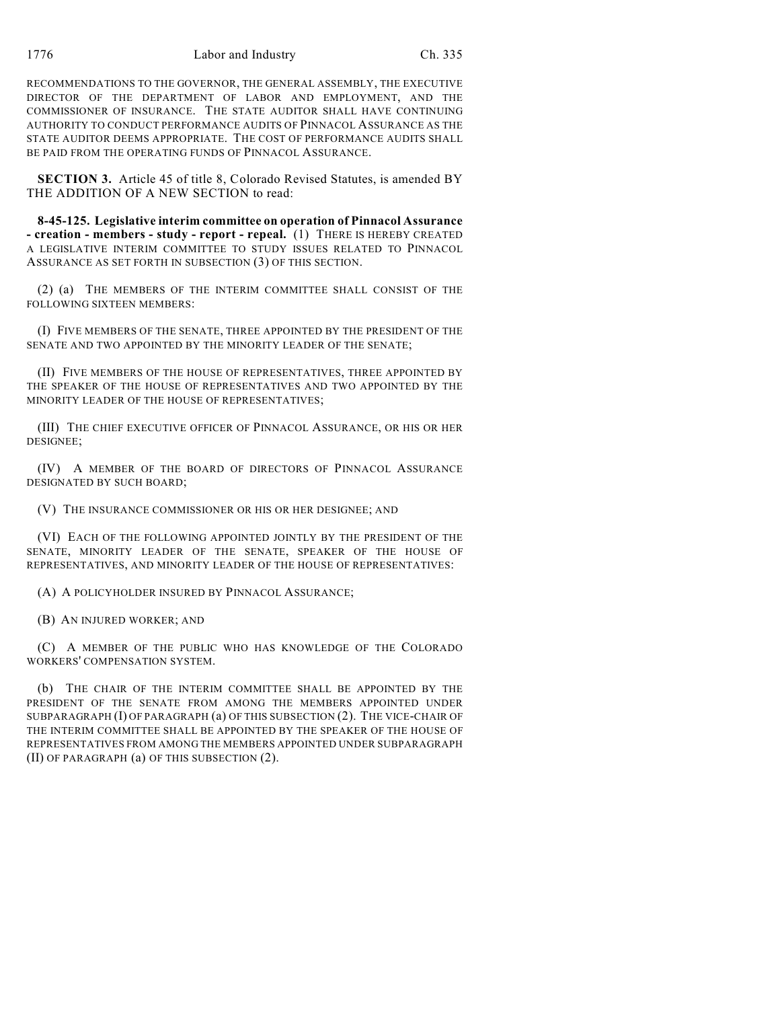RECOMMENDATIONS TO THE GOVERNOR, THE GENERAL ASSEMBLY, THE EXECUTIVE DIRECTOR OF THE DEPARTMENT OF LABOR AND EMPLOYMENT, AND THE COMMISSIONER OF INSURANCE. THE STATE AUDITOR SHALL HAVE CONTINUING AUTHORITY TO CONDUCT PERFORMANCE AUDITS OF PINNACOL ASSURANCE AS THE STATE AUDITOR DEEMS APPROPRIATE. THE COST OF PERFORMANCE AUDITS SHALL BE PAID FROM THE OPERATING FUNDS OF PINNACOL ASSURANCE.

**SECTION 3.** Article 45 of title 8, Colorado Revised Statutes, is amended BY THE ADDITION OF A NEW SECTION to read:

**8-45-125. Legislative interim committee on operation of Pinnacol Assurance - creation - members - study - report - repeal.** (1) THERE IS HEREBY CREATED A LEGISLATIVE INTERIM COMMITTEE TO STUDY ISSUES RELATED TO PINNACOL ASSURANCE AS SET FORTH IN SUBSECTION (3) OF THIS SECTION.

(2) (a) THE MEMBERS OF THE INTERIM COMMITTEE SHALL CONSIST OF THE FOLLOWING SIXTEEN MEMBERS:

(I) FIVE MEMBERS OF THE SENATE, THREE APPOINTED BY THE PRESIDENT OF THE SENATE AND TWO APPOINTED BY THE MINORITY LEADER OF THE SENATE;

(II) FIVE MEMBERS OF THE HOUSE OF REPRESENTATIVES, THREE APPOINTED BY THE SPEAKER OF THE HOUSE OF REPRESENTATIVES AND TWO APPOINTED BY THE MINORITY LEADER OF THE HOUSE OF REPRESENTATIVES;

(III) THE CHIEF EXECUTIVE OFFICER OF PINNACOL ASSURANCE, OR HIS OR HER DESIGNEE;

(IV) A MEMBER OF THE BOARD OF DIRECTORS OF PINNACOL ASSURANCE DESIGNATED BY SUCH BOARD;

(V) THE INSURANCE COMMISSIONER OR HIS OR HER DESIGNEE; AND

(VI) EACH OF THE FOLLOWING APPOINTED JOINTLY BY THE PRESIDENT OF THE SENATE, MINORITY LEADER OF THE SENATE, SPEAKER OF THE HOUSE OF REPRESENTATIVES, AND MINORITY LEADER OF THE HOUSE OF REPRESENTATIVES:

(A) A POLICYHOLDER INSURED BY PINNACOL ASSURANCE;

(B) AN INJURED WORKER; AND

(C) A MEMBER OF THE PUBLIC WHO HAS KNOWLEDGE OF THE COLORADO WORKERS' COMPENSATION SYSTEM.

(b) THE CHAIR OF THE INTERIM COMMITTEE SHALL BE APPOINTED BY THE PRESIDENT OF THE SENATE FROM AMONG THE MEMBERS APPOINTED UNDER SUBPARAGRAPH (I) OF PARAGRAPH (a) OF THIS SUBSECTION (2). THE VICE-CHAIR OF THE INTERIM COMMITTEE SHALL BE APPOINTED BY THE SPEAKER OF THE HOUSE OF REPRESENTATIVES FROM AMONG THE MEMBERS APPOINTED UNDER SUBPARAGRAPH (II) OF PARAGRAPH (a) OF THIS SUBSECTION (2).